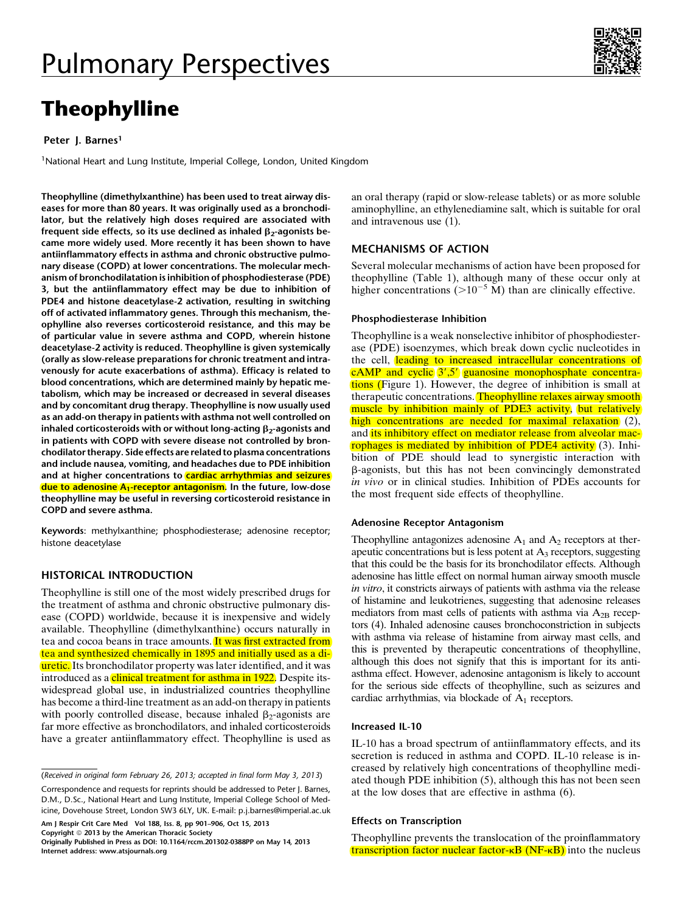# Theophylline

# Peter J. Barnes<sup>1</sup>

<sup>1</sup>National Heart and Lung Institute, Imperial College, London, United Kingdom

Theophylline (dimethylxanthine) has been used to treat airway diseases for more than 80 years. It was originally used as a bronchodilator, but the relatively high doses required are associated with frequent side effects, so its use declined as inhaled  $\beta_2$ -agonists became more widely used. More recently it has been shown to have antiinflammatory effects in asthma and chronic obstructive pulmonary disease (COPD) at lower concentrations. The molecular mechanism of bronchodilatation is inhibition of phosphodiesterase (PDE) 3, but the antiinflammatory effect may be due to inhibition of PDE4 and histone deacetylase-2 activation, resulting in switching off of activated inflammatory genes. Through this mechanism, theophylline also reverses corticosteroid resistance, and this may be of particular value in severe asthma and COPD, wherein histone deacetylase-2 activity is reduced. Theophylline is given systemically (orally as slow-release preparations for chronic treatment and intravenously for acute exacerbations of asthma). Efficacy is related to blood concentrations, which are determined mainly by hepatic metabolism, which may be increased or decreased in several diseases and by concomitant drug therapy. Theophylline is now usually used as an add-on therapy in patients with asthma not well controlled on inhaled corticosteroids with or without long-acting  $\beta_2$ -agonists and in patients with COPD with severe disease not controlled by bronchodilator therapy. Side effects are related to plasma concentrations and include nausea, vomiting, and headaches due to PDE inhibition and at higher concentrations to **cardiac arrhythmias and seizures** due to adenosine A<sub>1</sub>-receptor antagonism. In the future, low-dose theophylline may be useful in reversing corticosteroid resistance in COPD and severe asthma.

Keywords: methylxanthine; phosphodiesterase; adenosine receptor; histone deacetylase

# HISTORICAL INTRODUCTION

Theophylline is still one of the most widely prescribed drugs for the treatment of asthma and chronic obstructive pulmonary disease (COPD) worldwide, because it is inexpensive and widely available. Theophylline (dimethylxanthine) occurs naturally in tea and cocoa beans in trace amounts. It was first extracted from tea and synthesized chemically in 1895 and initially used as a diuretic. Its bronchodilator property was later identified, and it was introduced as a clinical treatment for asthma in 1922. Despite itswidespread global use, in industrialized countries theophylline has become a third-line treatment as an add-on therapy in patients with poorly controlled disease, because inhaled  $\beta_2$ -agonists are far more effective as bronchodilators, and inhaled corticosteroids have a greater antiinflammatory effect. Theophylline is used as

(Received in original form February 26, 2013; accepted in final form May 3, 2013)

Correspondence and requests for reprints should be addressed to Peter J. Barnes, D.M., D.Sc., National Heart and Lung Institute, Imperial College School of Medicine, Dovehouse Street, London SW3 6LY, UK. E-mail: [p.j.barnes@imperial.ac.uk](mailto:p.j.barnes@imperial.ac.uk)

Am J Respir Crit Care Med Vol 188, Iss. 8, pp 901–906, Oct 15, 2013 Copyright © 2013 by the American Thoracic Society

an oral therapy (rapid or slow-release tablets) or as more soluble aminophylline, an ethylenediamine salt, which is suitable for oral and intravenous use (1).

# MECHANISMS OF ACTION

Several molecular mechanisms of action have been proposed for theophylline (Table 1), although many of these occur only at higher concentrations ( $>10^{-5}$  M) than are clinically effective.

#### Phosphodiesterase Inhibition

Theophylline is a weak nonselective inhibitor of phosphodiesterase (PDE) isoenzymes, which break down cyclic nucleotides in the cell, leading to increased intracellular concentrations of  $cAMP$  and cyclic  $3',5'$  guanosine monophosphate concentrations (Figure 1). However, the degree of inhibition is small at therapeutic concentrations. Theophylline relaxes airway smooth muscle by inhibition mainly of PDE3 activity, but relatively high concentrations are needed for maximal relaxation (2), and its inhibitory effect on mediator release from alveolar macrophages is mediated by inhibition of PDE4 activity (3). Inhibition of PDE should lead to synergistic interaction with b-agonists, but this has not been convincingly demonstrated in vivo or in clinical studies. Inhibition of PDEs accounts for the most frequent side effects of theophylline.

## Adenosine Receptor Antagonism

Theophylline antagonizes adenosine  $A_1$  and  $A_2$  receptors at therapeutic concentrations but is less potent at  $A_3$  receptors, suggesting that this could be the basis for its bronchodilator effects. Although adenosine has little effect on normal human airway smooth muscle in vitro, it constricts airways of patients with asthma via the release of histamine and leukotrienes, suggesting that adenosine releases mediators from mast cells of patients with asthma via  $A_{2B}$  receptors (4). Inhaled adenosine causes bronchoconstriction in subjects with asthma via release of histamine from airway mast cells, and this is prevented by therapeutic concentrations of theophylline, although this does not signify that this is important for its antiasthma effect. However, adenosine antagonism is likely to account for the serious side effects of theophylline, such as seizures and cardiac arrhythmias, via blockade of  $A_1$  receptors.

#### Increased IL-10

IL-10 has a broad spectrum of antiinflammatory effects, and its secretion is reduced in asthma and COPD. IL-10 release is increased by relatively high concentrations of theophylline mediated though PDE inhibition (5), although this has not been seen at the low doses that are effective in asthma (6).

## Effects on Transcription

Theophylline prevents the translocation of the proinflammatory transcription factor nuclear factor- $\kappa$ B (NF- $\kappa$ B) into the nucleus



Originally Published in Press as DOI: [10.1164/rccm.201302-0388PP](http://dx.doi.org/201302-0388PP) on May 14, 2013 Internet address: www.atsjournals.org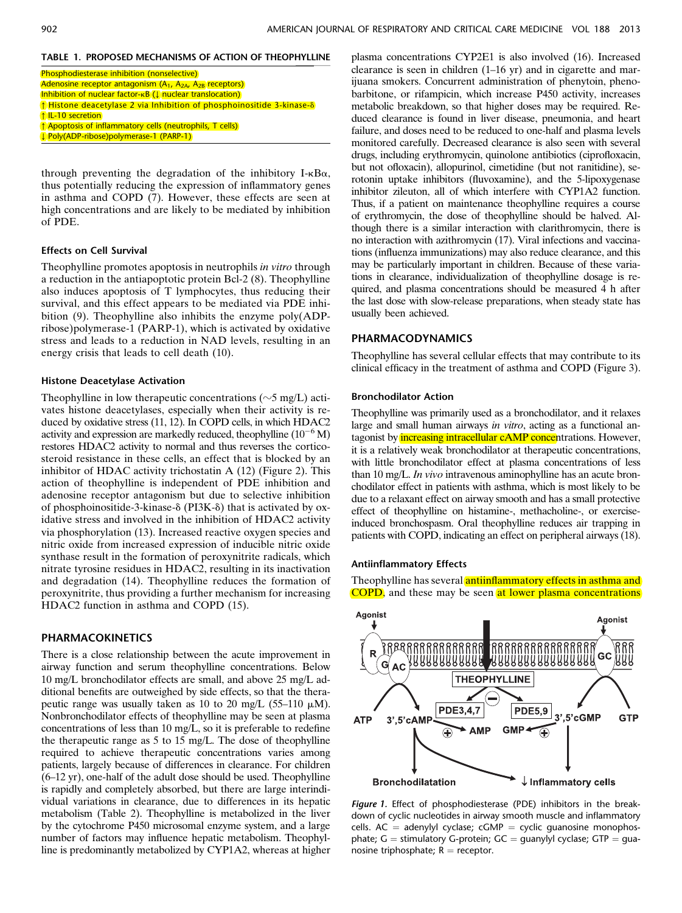# TABLE 1. PROPOSED MECHANISMS OF ACTION OF THEOPHYLLINE

- Phosphodiesterase inhibition (nonselective) Adenosine receptor antagonism  $(A_1, A_{2A}, A_{2B})$  receptors) Inhibition of nuclear factor-kB (↓ nuclear translocation) ↑ Histone deacetylase 2 via Inhibition of phosphoinositide 3-kinase-d ↑ IL-10 secretion ↑ Apoptosis of inflammatory cells (neutrophils, T cells) ↓ Poly(ADP-ribose)polymerase-1 (PARP-1)
- through preventing the degradation of the inhibitory I- $\kappa$ B $\alpha$ , thus potentially reducing the expression of inflammatory genes in asthma and COPD (7). However, these effects are seen at high concentrations and are likely to be mediated by inhibition of PDE.

#### Effects on Cell Survival

Theophylline promotes apoptosis in neutrophils in vitro through a reduction in the antiapoptotic protein Bcl-2 (8). Theophylline also induces apoptosis of T lymphocytes, thus reducing their survival, and this effect appears to be mediated via PDE inhibition (9). Theophylline also inhibits the enzyme poly(ADPribose)polymerase-1 (PARP-1), which is activated by oxidative stress and leads to a reduction in NAD levels, resulting in an energy crisis that leads to cell death (10).

#### Histone Deacetylase Activation

Theophylline in low therapeutic concentrations ( $\sim$ 5 mg/L) activates histone deacetylases, especially when their activity is reduced by oxidative stress (11, 12). In COPD cells, in which HDAC2 activity and expression are markedly reduced, theophylline  $(10^{-6} M)$ restores HDAC2 activity to normal and thus reverses the corticosteroid resistance in these cells, an effect that is blocked by an inhibitor of HDAC activity trichostatin A (12) (Figure 2). This action of theophylline is independent of PDE inhibition and adenosine receptor antagonism but due to selective inhibition of phosphoinositide-3-kinase- $\delta$  (PI3K- $\delta$ ) that is activated by oxidative stress and involved in the inhibition of HDAC2 activity via phosphorylation (13). Increased reactive oxygen species and nitric oxide from increased expression of inducible nitric oxide synthase result in the formation of peroxynitrite radicals, which nitrate tyrosine residues in HDAC2, resulting in its inactivation and degradation (14). Theophylline reduces the formation of peroxynitrite, thus providing a further mechanism for increasing HDAC2 function in asthma and COPD (15).

# PHARMACOKINETICS

There is a close relationship between the acute improvement in airway function and serum theophylline concentrations. Below 10 mg/L bronchodilator effects are small, and above 25 mg/L additional benefits are outweighed by side effects, so that the therapeutic range was usually taken as 10 to 20 mg/L (55–110  $\mu$ M). Nonbronchodilator effects of theophylline may be seen at plasma concentrations of less than 10 mg/L, so it is preferable to redefine the therapeutic range as 5 to 15 mg/L. The dose of theophylline required to achieve therapeutic concentrations varies among patients, largely because of differences in clearance. For children (6–12 yr), one-half of the adult dose should be used. Theophylline is rapidly and completely absorbed, but there are large interindividual variations in clearance, due to differences in its hepatic metabolism (Table 2). Theophylline is metabolized in the liver by the cytochrome P450 microsomal enzyme system, and a large number of factors may influence hepatic metabolism. Theophylline is predominantly metabolized by CYP1A2, whereas at higher

plasma concentrations CYP2E1 is also involved (16). Increased clearance is seen in children (1–16 yr) and in cigarette and marijuana smokers. Concurrent administration of phenytoin, phenobarbitone, or rifampicin, which increase P450 activity, increases metabolic breakdown, so that higher doses may be required. Reduced clearance is found in liver disease, pneumonia, and heart failure, and doses need to be reduced to one-half and plasma levels monitored carefully. Decreased clearance is also seen with several drugs, including erythromycin, quinolone antibiotics (ciprofloxacin, but not ofloxacin), allopurinol, cimetidine (but not ranitidine), serotonin uptake inhibitors (fluvoxamine), and the 5-lipoxygenase inhibitor zileuton, all of which interfere with CYP1A2 function. Thus, if a patient on maintenance theophylline requires a course of erythromycin, the dose of theophylline should be halved. Although there is a similar interaction with clarithromycin, there is no interaction with azithromycin (17). Viral infections and vaccinations (influenza immunizations) may also reduce clearance, and this may be particularly important in children. Because of these variations in clearance, individualization of theophylline dosage is required, and plasma concentrations should be measured 4 h after the last dose with slow-release preparations, when steady state has usually been achieved.

### PHARMACODYNAMICS

Theophylline has several cellular effects that may contribute to its clinical efficacy in the treatment of asthma and COPD (Figure 3).

#### Bronchodilator Action

Theophylline was primarily used as a bronchodilator, and it relaxes large and small human airways in vitro, acting as a functional antagonist by *increasing intracellular cAMP concentrations*. However, it is a relatively weak bronchodilator at therapeutic concentrations, with little bronchodilator effect at plasma concentrations of less than 10 mg/L. In vivo intravenous aminophylline has an acute bronchodilator effect in patients with asthma, which is most likely to be due to a relaxant effect on airway smooth and has a small protective effect of theophylline on histamine-, methacholine-, or exerciseinduced bronchospasm. Oral theophylline reduces air trapping in patients with COPD, indicating an effect on peripheral airways (18).

#### Antiinflammatory Effects

Theophylline has several antiinflammatory effects in asthma and COPD, and these may be seen at lower plasma concentrations



Figure 1. Effect of phosphodiesterase (PDE) inhibitors in the breakdown of cyclic nucleotides in airway smooth muscle and inflammatory cells. AC = adenylyl cyclase; cGMP = cyclic guanosine monophosphate;  $G =$  stimulatory G-protein;  $GC =$  guanylyl cyclase;  $GTP =$  guanosine triphosphate;  $R =$  receptor.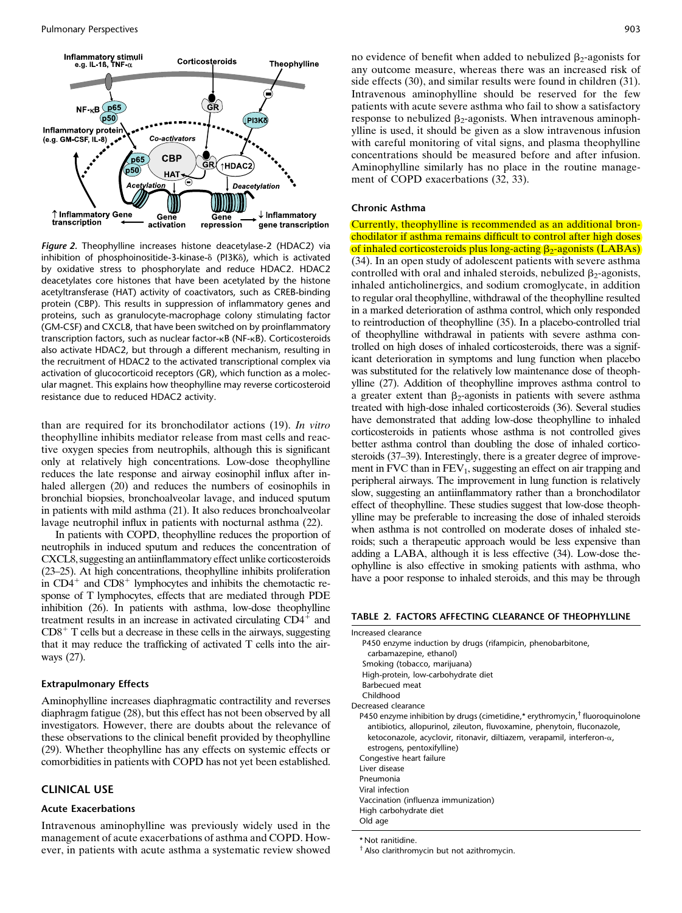

Figure 2. Theophylline increases histone deacetylase-2 (HDAC2) via inhibition of phosphoinositide-3-kinase- $\delta$  (PI3K $\delta$ ), which is activated by oxidative stress to phosphorylate and reduce HDAC2. HDAC2 deacetylates core histones that have been acetylated by the histone acetyltransferase (HAT) activity of coactivators, such as CREB-binding protein (CBP). This results in suppression of inflammatory genes and proteins, such as granulocyte-macrophage colony stimulating factor (GM-CSF) and CXCL8, that have been switched on by proinflammatory transcription factors, such as nuclear factor-kB (NF-kB). Corticosteroids also activate HDAC2, but through a different mechanism, resulting in the recruitment of HDAC2 to the activated transcriptional complex via activation of glucocorticoid receptors (GR), which function as a molecular magnet. This explains how theophylline may reverse corticosteroid resistance due to reduced HDAC2 activity.

than are required for its bronchodilator actions (19). In vitro theophylline inhibits mediator release from mast cells and reactive oxygen species from neutrophils, although this is significant only at relatively high concentrations. Low-dose theophylline reduces the late response and airway eosinophil influx after inhaled allergen (20) and reduces the numbers of eosinophils in bronchial biopsies, bronchoalveolar lavage, and induced sputum in patients with mild asthma (21). It also reduces bronchoalveolar lavage neutrophil influx in patients with nocturnal asthma (22).

In patients with COPD, theophylline reduces the proportion of neutrophils in induced sputum and reduces the concentration of CXCL8, suggesting an antiinflammatory effect unlike corticosteroids (23–25). At high concentrations, theophylline inhibits proliferation in  $CD4^+$  and  $CD8^+$  lymphocytes and inhibits the chemotactic response of T lymphocytes, effects that are mediated through PDE inhibition (26). In patients with asthma, low-dose theophylline treatment results in an increase in activated circulating  $CD4^+$  and  $CD8<sup>+</sup>$  T cells but a decrease in these cells in the airways, suggesting that it may reduce the trafficking of activated T cells into the airways (27).

#### Extrapulmonary Effects

Aminophylline increases diaphragmatic contractility and reverses diaphragm fatigue (28), but this effect has not been observed by all investigators. However, there are doubts about the relevance of these observations to the clinical benefit provided by theophylline (29). Whether theophylline has any effects on systemic effects or comorbidities in patients with COPD has not yet been established.

# CLINICAL USE

#### Acute Exacerbations

Intravenous aminophylline was previously widely used in the management of acute exacerbations of asthma and COPD. However, in patients with acute asthma a systematic review showed

no evidence of benefit when added to nebulized  $\beta_2$ -agonists for any outcome measure, whereas there was an increased risk of side effects (30), and similar results were found in children (31). Intravenous aminophylline should be reserved for the few patients with acute severe asthma who fail to show a satisfactory response to nebulized  $\beta_2$ -agonists. When intravenous aminophylline is used, it should be given as a slow intravenous infusion with careful monitoring of vital signs, and plasma theophylline concentrations should be measured before and after infusion. Aminophylline similarly has no place in the routine management of COPD exacerbations (32, 33).

#### Chronic Asthma

Currently, theophylline is recommended as an additional bronchodilator if asthma remains difficult to control after high doses of inhaled corticosteroids plus long-acting  $\beta_2$ -agonists (LABAs) (34). In an open study of adolescent patients with severe asthma controlled with oral and inhaled steroids, nebulized  $\beta_2$ -agonists, inhaled anticholinergics, and sodium cromoglycate, in addition to regular oral theophylline, withdrawal of the theophylline resulted in a marked deterioration of asthma control, which only responded to reintroduction of theophylline (35). In a placebo-controlled trial of theophylline withdrawal in patients with severe asthma controlled on high doses of inhaled corticosteroids, there was a significant deterioration in symptoms and lung function when placebo was substituted for the relatively low maintenance dose of theophylline (27). Addition of theophylline improves asthma control to a greater extent than  $\beta_2$ -agonists in patients with severe asthma treated with high-dose inhaled corticosteroids (36). Several studies have demonstrated that adding low-dose theophylline to inhaled corticosteroids in patients whose asthma is not controlled gives better asthma control than doubling the dose of inhaled corticosteroids (37–39). Interestingly, there is a greater degree of improvement in FVC than in  $FEV<sub>1</sub>$ , suggesting an effect on air trapping and peripheral airways. The improvement in lung function is relatively slow, suggesting an antiinflammatory rather than a bronchodilator effect of theophylline. These studies suggest that low-dose theophylline may be preferable to increasing the dose of inhaled steroids when asthma is not controlled on moderate doses of inhaled steroids; such a therapeutic approach would be less expensive than adding a LABA, although it is less effective (34). Low-dose theophylline is also effective in smoking patients with asthma, who have a poor response to inhaled steroids, and this may be through

#### TABLE 2. FACTORS AFFECTING CLEARANCE OF THEOPHYLLINE

| Increased clearance                                                                      |
|------------------------------------------------------------------------------------------|
| P450 enzyme induction by drugs (rifampicin, phenobarbitone,                              |
| carbamazepine, ethanol)                                                                  |
| Smoking (tobacco, marijuana)                                                             |
| High-protein, low-carbohydrate diet                                                      |
| <b>Barbecued</b> meat                                                                    |
| Childhood                                                                                |
| Decreased clearance                                                                      |
| P450 enzyme inhibition by drugs (cimetidine,* erythromycin, <sup>†</sup> fluoroquinolone |
| antibiotics, allopurinol, zileuton, fluvoxamine, phenytoin, fluconazole,                 |
| ketoconazole, acyclovir, ritonavir, diltiazem, verapamil, interferon- $\alpha$ ,         |
| estrogens, pentoxifylline)                                                               |
| Congestive heart failure                                                                 |
| Liver disease                                                                            |
| Pneumonia                                                                                |
| Viral infection                                                                          |
| Vaccination (influenza immunization)                                                     |
| High carbohydrate diet                                                                   |
| Old age                                                                                  |
| * Niek somitialisen                                                                      |

Not ranitidine.

 $<sup>†</sup>$  Also clarithromycin but not azithromycin.</sup>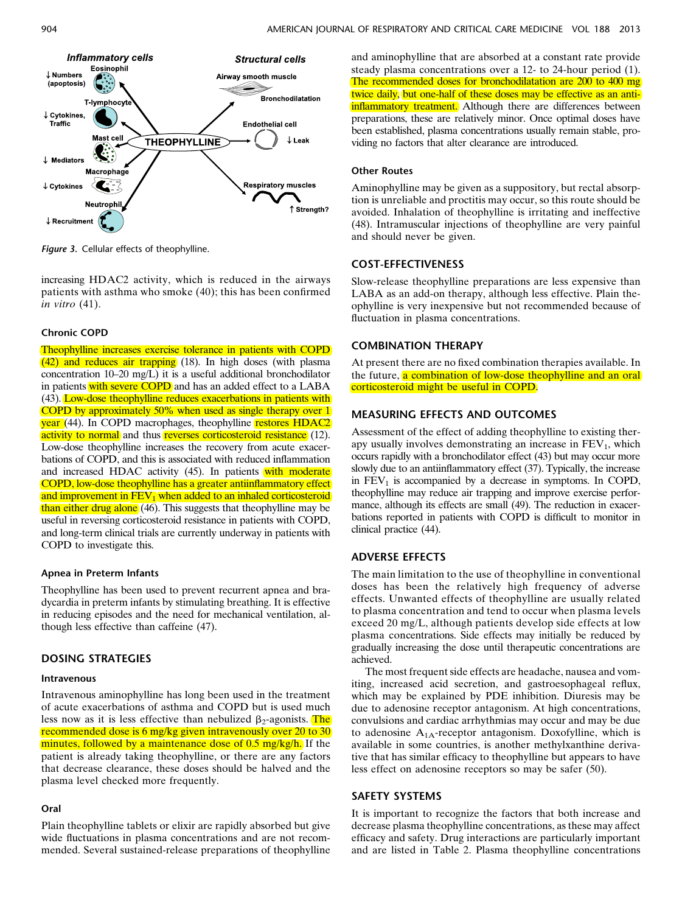

Figure 3. Cellular effects of theophylline.

increasing HDAC2 activity, which is reduced in the airways patients with asthma who smoke (40); this has been confirmed in vitro (41).

# Chronic COPD

Theophylline increases exercise tolerance in patients with COPD (42) and reduces air trapping (18). In high doses (with plasma concentration 10–20 mg/L) it is a useful additional bronchodilator in patients with severe COPD and has an added effect to a LABA (43). Low-dose theophylline reduces exacerbations in patients with COPD by approximately 50% when used as single therapy over 1 year (44). In COPD macrophages, theophylline restores HDAC2 activity to normal and thus reverses corticosteroid resistance (12). Low-dose theophylline increases the recovery from acute exacerbations of COPD, and this is associated with reduced inflammation and increased HDAC activity (45). In patients with moderate COPD, low-dose theophylline has a greater antiinflammatory effect and improvement in  $FEV<sub>1</sub>$  when added to an inhaled corticosteroid than either drug alone (46). This suggests that theophylline may be useful in reversing corticosteroid resistance in patients with COPD, and long-term clinical trials are currently underway in patients with COPD to investigate this.

#### Apnea in Preterm Infants

Theophylline has been used to prevent recurrent apnea and bradycardia in preterm infants by stimulating breathing. It is effective in reducing episodes and the need for mechanical ventilation, although less effective than caffeine (47).

# DOSING STRATEGIES

### Intravenous

Intravenous aminophylline has long been used in the treatment of acute exacerbations of asthma and COPD but is used much less now as it is less effective than nebulized  $\beta_2$ -agonists. The recommended dose is 6 mg/kg given intravenously over 20 to 30 minutes, followed by a maintenance dose of 0.5 mg/kg/h. If the patient is already taking theophylline, or there are any factors that decrease clearance, these doses should be halved and the plasma level checked more frequently.

#### Oral

Plain theophylline tablets or elixir are rapidly absorbed but give wide fluctuations in plasma concentrations and are not recommended. Several sustained-release preparations of theophylline

and aminophylline that are absorbed at a constant rate provide steady plasma concentrations over a 12- to 24-hour period (1). The recommended doses for bronchodilatation are 200 to 400 mg twice daily, but one-half of these doses may be effective as an antiinflammatory treatment. Although there are differences between preparations, these are relatively minor. Once optimal doses have been established, plasma concentrations usually remain stable, providing no factors that alter clearance are introduced.

#### Other Routes

Aminophylline may be given as a suppository, but rectal absorption is unreliable and proctitis may occur, so this route should be avoided. Inhalation of theophylline is irritating and ineffective (48). Intramuscular injections of theophylline are very painful and should never be given.

# COST-EFFECTIVENESS

Slow-release theophylline preparations are less expensive than LABA as an add-on therapy, although less effective. Plain theophylline is very inexpensive but not recommended because of fluctuation in plasma concentrations.

# COMBINATION THERAPY

At present there are no fixed combination therapies available. In the future, a combination of low-dose theophylline and an oral corticosteroid might be useful in COPD.

# MEASURING EFFECTS AND OUTCOMES

Assessment of the effect of adding theophylline to existing therapy usually involves demonstrating an increase in  $FEV<sub>1</sub>$ , which occurs rapidly with a bronchodilator effect (43) but may occur more slowly due to an antiinflammatory effect (37). Typically, the increase in  $FEV<sub>1</sub>$  is accompanied by a decrease in symptoms. In COPD, theophylline may reduce air trapping and improve exercise performance, although its effects are small (49). The reduction in exacerbations reported in patients with COPD is difficult to monitor in clinical practice (44).

# ADVERSE EFFECTS

The main limitation to the use of theophylline in conventional doses has been the relatively high frequency of adverse effects. Unwanted effects of theophylline are usually related to plasma concentration and tend to occur when plasma levels exceed 20 mg/L, although patients develop side effects at low plasma concentrations. Side effects may initially be reduced by gradually increasing the dose until therapeutic concentrations are achieved.

The most frequent side effects are headache, nausea and vomiting, increased acid secretion, and gastroesophageal reflux, which may be explained by PDE inhibition. Diuresis may be due to adenosine receptor antagonism. At high concentrations, convulsions and cardiac arrhythmias may occur and may be due to adenosine  $A_{1A}$ -receptor antagonism. Doxofylline, which is available in some countries, is another methylxanthine derivative that has similar efficacy to theophylline but appears to have less effect on adenosine receptors so may be safer (50).

## SAFETY SYSTEMS

It is important to recognize the factors that both increase and decrease plasma theophylline concentrations, as these may affect efficacy and safety. Drug interactions are particularly important and are listed in Table 2. Plasma theophylline concentrations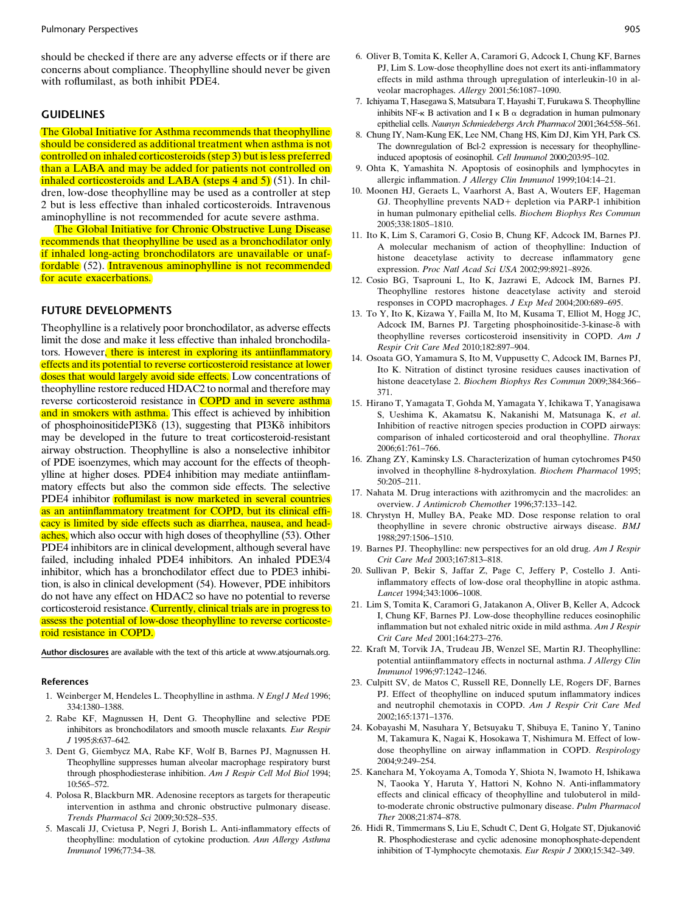should be checked if there are any adverse effects or if there are concerns about compliance. Theophylline should never be given with roflumilast, as both inhibit PDE4.

# **GUIDELINES**

The Global Initiative for Asthma recommends that theophylline should be considered as additional treatment when asthma is not controlled on inhaled corticosteroids (step 3) but is less preferred than a LABA and may be added for patients not controlled on inhaled corticosteroids and LABA (steps 4 and 5) (51). In children, low-dose theophylline may be used as a controller at step 2 but is less effective than inhaled corticosteroids. Intravenous aminophylline is not recommended for acute severe asthma.

The Global Initiative for Chronic Obstructive Lung Disease recommends that theophylline be used as a bronchodilator only if inhaled long-acting bronchodilators are unavailable or unaffordable (52). Intravenous aminophylline is not recommended for acute exacerbations.

## FUTURE DEVELOPMENTS

Theophylline is a relatively poor bronchodilator, as adverse effects limit the dose and make it less effective than inhaled bronchodilators. However, there is interest in exploring its antiinflammatory effects and its potential to reverse corticosteroid resistance at lower doses that would largely avoid side effects. Low concentrations of theophylline restore reduced HDAC2 to normal and therefore may reverse corticosteroid resistance in **COPD** and in severe asthma and in smokers with asthma. This effect is achieved by inhibition of phosphoinositidePI3K $\delta$  (13), suggesting that PI3K $\delta$  inhibitors may be developed in the future to treat corticosteroid-resistant airway obstruction. Theophylline is also a nonselective inhibitor of PDE isoenzymes, which may account for the effects of theophylline at higher doses. PDE4 inhibition may mediate antiinflammatory effects but also the common side effects. The selective PDE4 inhibitor roflumilast is now marketed in several countries as an antiinflammatory treatment for COPD, but its clinical efficacy is limited by side effects such as diarrhea, nausea, and headaches, which also occur with high doses of theophylline (53). Other PDE4 inhibitors are in clinical development, although several have failed, including inhaled PDE4 inhibitors. An inhaled PDE3/4 inhibitor, which has a bronchodilator effect due to PDE3 inhibition, is also in clinical development (54). However, PDE inhibitors do not have any effect on HDAC2 so have no potential to reverse corticosteroid resistance. Currently, clinical trials are in progress to assess the potential of low-dose theophylline to reverse corticosteroid resistance in COPD.

[Author disclosures](http://www.atsjournals.org/doi/suppl/10.1164/rccm.201302-0388PP/suppl_file/disclosures.pdf) are available with the text of this article at [www.atsjournals.org](http://www.atsjournals.org).

#### References

- 1. Weinberger M, Hendeles L. Theophylline in asthma. N Engl J Med 1996; 334:1380–1388.
- 2. Rabe KF, Magnussen H, Dent G. Theophylline and selective PDE inhibitors as bronchodilators and smooth muscle relaxants. Eur Respir J 1995;8:637–642.
- 3. Dent G, Giembycz MA, Rabe KF, Wolf B, Barnes PJ, Magnussen H. Theophylline suppresses human alveolar macrophage respiratory burst through phosphodiesterase inhibition. Am J Respir Cell Mol Biol 1994; 10:565–572.
- 4. Polosa R, Blackburn MR. Adenosine receptors as targets for therapeutic intervention in asthma and chronic obstructive pulmonary disease. Trends Pharmacol Sci 2009;30:528–535.
- 5. Mascali JJ, Cvietusa P, Negri J, Borish L. Anti-inflammatory effects of theophylline: modulation of cytokine production. Ann Allergy Asthma Immunol 1996;77:34–38.
- 6. Oliver B, Tomita K, Keller A, Caramori G, Adcock I, Chung KF, Barnes PJ, Lim S. Low-dose theophylline does not exert its anti-inflammatory effects in mild asthma through upregulation of interleukin-10 in alveolar macrophages. Allergy 2001;56:1087–1090.
- 7. Ichiyama T, Hasegawa S, Matsubara T, Hayashi T, Furukawa S. Theophylline inhibits NF- $\kappa$  B activation and I  $\kappa$  B  $\alpha$  degradation in human pulmonary epithelial cells. Naunyn Schmiedebergs Arch Pharmacol 2001;364:558–561.
- 8. Chung IY, Nam-Kung EK, Lee NM, Chang HS, Kim DJ, Kim YH, Park CS. The downregulation of Bcl-2 expression is necessary for theophyllineinduced apoptosis of eosinophil. Cell Immunol 2000;203:95–102.
- 9. Ohta K, Yamashita N. Apoptosis of eosinophils and lymphocytes in allergic inflammation. J Allergy Clin Immunol 1999;104:14–21.
- 10. Moonen HJ, Geraets L, Vaarhorst A, Bast A, Wouters EF, Hageman GJ. Theophylline prevents NAD+ depletion via PARP-1 inhibition in human pulmonary epithelial cells. Biochem Biophys Res Commun 2005;338:1805–1810.
- 11. Ito K, Lim S, Caramori G, Cosio B, Chung KF, Adcock IM, Barnes PJ. A molecular mechanism of action of theophylline: Induction of histone deacetylase activity to decrease inflammatory gene expression. Proc Natl Acad Sci USA 2002;99:8921–8926.
- 12. Cosio BG, Tsaprouni L, Ito K, Jazrawi E, Adcock IM, Barnes PJ. Theophylline restores histone deacetylase activity and steroid responses in COPD macrophages. J Exp Med 2004;200:689–695.
- 13. To Y, Ito K, Kizawa Y, Failla M, Ito M, Kusama T, Elliot M, Hogg JC, Adcock IM, Barnes PJ. Targeting phosphoinositide-3-kinase- $\delta$  with theophylline reverses corticosteroid insensitivity in COPD. Am J Respir Crit Care Med 2010;182:897–904.
- 14. Osoata GO, Yamamura S, Ito M, Vuppusetty C, Adcock IM, Barnes PJ, Ito K. Nitration of distinct tyrosine residues causes inactivation of histone deacetylase 2. Biochem Biophys Res Commun 2009;384:366– 371.
- 15. Hirano T, Yamagata T, Gohda M, Yamagata Y, Ichikawa T, Yanagisawa S, Ueshima K, Akamatsu K, Nakanishi M, Matsunaga K, et al. Inhibition of reactive nitrogen species production in COPD airways: comparison of inhaled corticosteroid and oral theophylline. Thorax 2006;61:761–766.
- 16. Zhang ZY, Kaminsky LS. Characterization of human cytochromes P450 involved in theophylline 8-hydroxylation. Biochem Pharmacol 1995; 50:205–211.
- 17. Nahata M. Drug interactions with azithromycin and the macrolides: an overview. J Antimicrob Chemother 1996;37:133–142.
- 18. Chrystyn H, Mulley BA, Peake MD. Dose response relation to oral theophylline in severe chronic obstructive airways disease. BMJ 1988;297:1506–1510.
- 19. Barnes PJ. Theophylline: new perspectives for an old drug. Am J Respir Crit Care Med 2003;167:813–818.
- 20. Sullivan P, Bekir S, Jaffar Z, Page C, Jeffery P, Costello J. Antiinflammatory effects of low-dose oral theophylline in atopic asthma. Lancet 1994;343:1006–1008.
- 21. Lim S, Tomita K, Caramori G, Jatakanon A, Oliver B, Keller A, Adcock I, Chung KF, Barnes PJ. Low-dose theophylline reduces eosinophilic inflammation but not exhaled nitric oxide in mild asthma. Am J Respir Crit Care Med 2001;164:273–276.
- 22. Kraft M, Torvik JA, Trudeau JB, Wenzel SE, Martin RJ. Theophylline: potential antiinflammatory effects in nocturnal asthma. J Allergy Clin Immunol 1996;97:1242–1246.
- 23. Culpitt SV, de Matos C, Russell RE, Donnelly LE, Rogers DF, Barnes PJ. Effect of theophylline on induced sputum inflammatory indices and neutrophil chemotaxis in COPD. Am J Respir Crit Care Med 2002;165:1371–1376.
- 24. Kobayashi M, Nasuhara Y, Betsuyaku T, Shibuya E, Tanino Y, Tanino M, Takamura K, Nagai K, Hosokawa T, Nishimura M. Effect of lowdose theophylline on airway inflammation in COPD. Respirology 2004;9:249–254.
- 25. Kanehara M, Yokoyama A, Tomoda Y, Shiota N, Iwamoto H, Ishikawa N, Taooka Y, Haruta Y, Hattori N, Kohno N. Anti-inflammatory effects and clinical efficacy of theophylline and tulobuterol in mildto-moderate chronic obstructive pulmonary disease. Pulm Pharmacol Ther 2008;21:874–878.
- 26. Hidi R, Timmermans S, Liu E, Schudt C, Dent G, Holgate ST, Djukanović R. Phosphodiesterase and cyclic adenosine monophosphate-dependent inhibition of T-lymphocyte chemotaxis. Eur Respir J 2000;15:342–349.